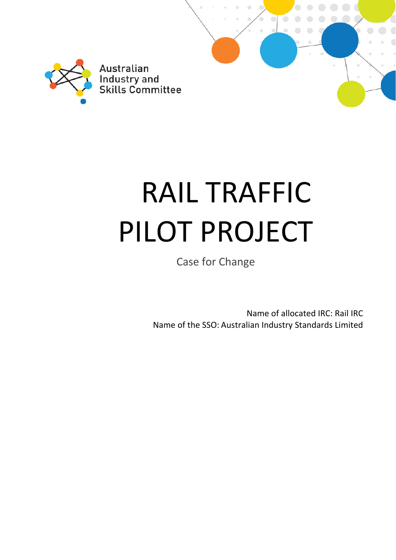

# RAIL TRAFFIC PILOT PROJECT

Case for Change

Name of allocated IRC: Rail IRC Name of the SSO: Australian Industry Standards Limited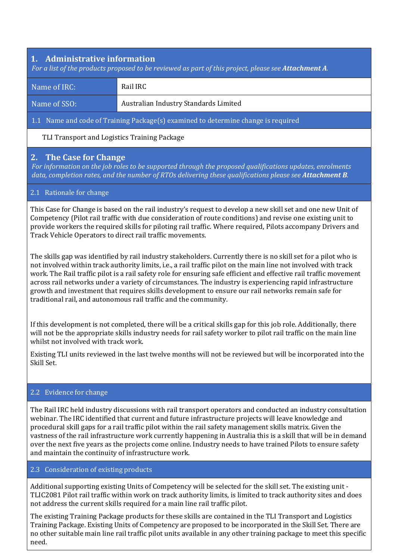## **1. Administrative information**

For a list of the products proposed to be reviewed as part of this project, please see Attachment A.

| Name of IRC: | Rail IRC                              |
|--------------|---------------------------------------|
| Name of SSO: | Australian Industry Standards Limited |

#### 1.1 Name and code of Training Package(s) examined to determine change is required

TLI Transport and Logistics Training Package

## **2. The Case for Change**

*For information on the job roles to be supported through the proposed qualifications updates, enrolments data, completion rates, and the number of RTOs delivering these qualifications please see Attachment B.*

#### 2.1 Rationale for change

This Case for Change is based on the rail industry's request to develop a new skill set and one new Unit of Competency (Pilot rail traffic with due consideration of route conditions) and revise one existing unit to provide workers the required skills for piloting rail traffic. Where required, Pilots accompany Drivers and Track Vehicle Operators to direct rail traffic movements.

The skills gap was identified by rail industry stakeholders. Currently there is no skill set for a pilot who is not involved within track authority limits, i.e., a rail traffic pilot on the main line not involved with track work. The Rail traffic pilot is a rail safety role for ensuring safe efficient and effective rail traffic movement across rail networks under a variety of circumstances. The industry is experiencing rapid infrastructure growth and investment that requires skills development to ensure our rail networks remain safe for traditional rail, and autonomous rail traffic and the community.

If this development is not completed, there will be a critical skills gap for this job role. Additionally, there will not be the appropriate skills industry needs for rail safety worker to pilot rail traffic on the main line whilst not involved with track work.

Existing TLI units reviewed in the last twelve months will not be reviewed but will be incorporated into the Skill Set.

#### 2.2 Evidence for change

The Rail IRC held industry discussions with rail transport operators and conducted an industry consultation webinar. The IRC identified that current and future infrastructure projects will leave knowledge and procedural skill gaps for a rail traffic pilot within the rail safety management skills matrix. Given the vastness of the rail infrastructure work currently happening in Australia this is a skill that will be in demand over the next five years as the projects come online. Industry needs to have trained Pilots to ensure safety and maintain the continuity of infrastructure work.

#### 2.3 Consideration of existing products

Additional supporting existing Units of Competency will be selected for the skill set. The existing unit - TLIC2081 Pilot rail traffic within work on track authority limits, is limited to track authority sites and does not address the current skills required for a main line rail traffic pilot.

The existing Training Package products for these skills are contained in the TLI Transport and Logistics Training Package. Existing Units of Competency are proposed to be incorporated in the Skill Set. There are no other suitable main line rail traffic pilot units available in any other training package to meet this specific need.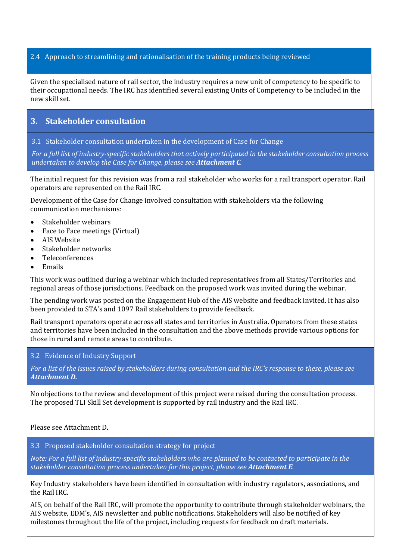#### 2.4 Approach to streamlining and rationalisation of the training products being reviewed

Given the specialised nature of rail sector, the industry requires a new unit of competency to be specific to their occupational needs. The IRC has identified several existing Units of Competency to be included in the new skill set.

## **3. Stakeholder consultation**

3.1 Stakeholder consultation undertaken in the development of Case for Change

For a full list of industry-specific stakeholders that actively participated in the stakeholder consultation process *undertaken to develop the Case for Change, please see Attachment C.*

The initial request for this revision was from a rail stakeholder who works for a rail transport operator. Rail operators are represented on the Rail IRC.

Development of the Case for Change involved consultation with stakeholders via the following communication mechanisms:

- Stakeholder webinars
- Face to Face meetings (Virtual)
- AIS Website
- Stakeholder networks
- Teleconferences
- Emails

This work was outlined during a webinar which included representatives from all States/Territories and regional areas of those jurisdictions. Feedback on the proposed work was invited during the webinar.

The pending work was posted on the Engagement Hub of the AIS website and feedback invited. It has also been provided to STA's and 1097 Rail stakeholders to provide feedback.

Rail transport operators operate across all states and territories in Australia. Operators from these states and territories have been included in the consultation and the above methods provide various options for those in rural and remote areas to contribute.

#### 3.2 Evidence of Industry Support

For a list of the issues raised by stakeholders during consultation and the IRC's response to these, please see *Attachment D.*

No objections to the review and development of this project were raised during the consultation process. The proposed TLI Skill Set development is supported by rail industry and the Rail IRC.

Please see Attachment D.

3.3 Proposed stakeholder consultation strategy for project

Note: For a full list of industry-specific stakeholders who are planned to be contacted to participate in the *stakeholder consultation process undertaken for this project, please see Attachment E.*

Key Industry stakeholders have been identified in consultation with industry regulators, associations, and the Rail IRC.

AIS, on behalf of the Rail IRC, will promote the opportunity to contribute through stakeholder webinars, the AIS website, EDM's, AIS newsletter and public notifications. Stakeholders will also be notified of key milestones throughout the life of the project, including requests for feedback on draft materials.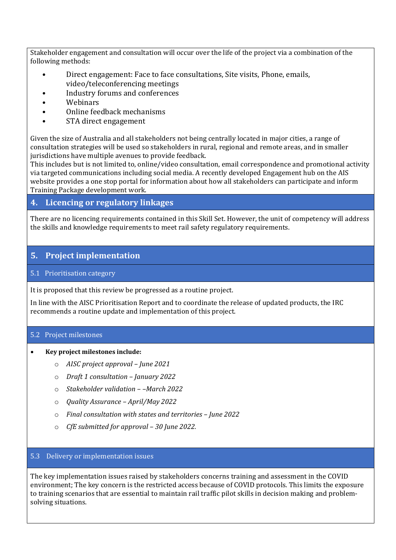Stakeholder engagement and consultation will occur over the life of the project via a combination of the following methods:

- Direct engagement: Face to face consultations, Site visits, Phone, emails, video/teleconferencing meetings
- Industry forums and conferences
- Webinars
- Online feedback mechanisms
- STA direct engagement

Given the size of Australia and all stakeholders not being centrally located in major cities, a range of consultation strategies will be used so stakeholders in rural, regional and remote areas, and in smaller jurisdictions have multiple avenues to provide feedback.

This includes but is not limited to, online/video consultation, email correspondence and promotional activity via targeted communications including social media. A recently developed Engagement hub on the AIS website provides a one stop portal for information about how all stakeholders can participate and inform Training Package development work.

# **4. Licencing or regulatory linkages**

There are no licencing requirements contained in this Skill Set. However, the unit of competency will address the skills and knowledge requirements to meet rail safety regulatory requirements.

# **5.** Project implementation

## 5.1 Prioritisation category

It is proposed that this review be progressed as a routine project.

In line with the AISC Prioritisation Report and to coordinate the release of updated products, the IRC recommends a routine update and implementation of this project.

## 5.2 Project milestones

#### **Key project milestones include:**

- o *AISC project approval – June 2021*
- o *Draft 1 consultation – January 2022*
- o *Stakeholder validation – –March 2022*
- o *Quality Assurance – April/May 2022*
- o *Final consultation with states and territories – June 2022*
- o *CfE submitted for approval – 30 June 2022.*

#### 5.3 Delivery or implementation issues

The key implementation issues raised by stakeholders concerns training and assessment in the COVID environment; The key concern is the restricted access because of COVID protocols. This limits the exposure to training scenarios that are essential to maintain rail traffic pilot skills in decision making and problemsolving situations.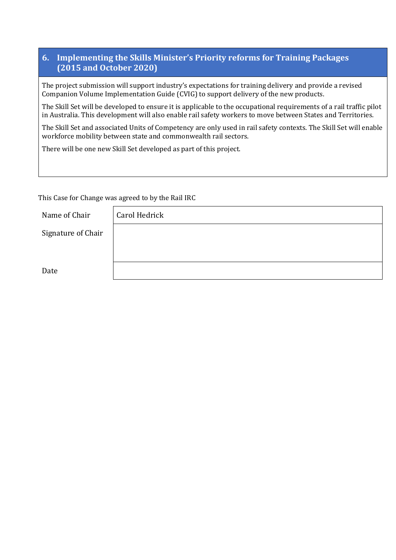## **6. Implementing the Skills Minister's Priority reforms for Training Packages (2015 and October 2020)**

The project submission will support industry's expectations for training delivery and provide a revised Companion Volume Implementation Guide (CVIG) to support delivery of the new products.

The Skill Set will be developed to ensure it is applicable to the occupational requirements of a rail traffic pilot in Australia. This development will also enable rail safety workers to move between States and Territories.

The Skill Set and associated Units of Competency are only used in rail safety contexts. The Skill Set will enable workforce mobility between state and commonwealth rail sectors.

There will be one new Skill Set developed as part of this project.

This Case for Change was agreed to by the Rail IRC

Name of Chair Carol Hedrick

Date

Signature of

| Chair <sup>®</sup> |  |
|--------------------|--|
|                    |  |
|                    |  |
|                    |  |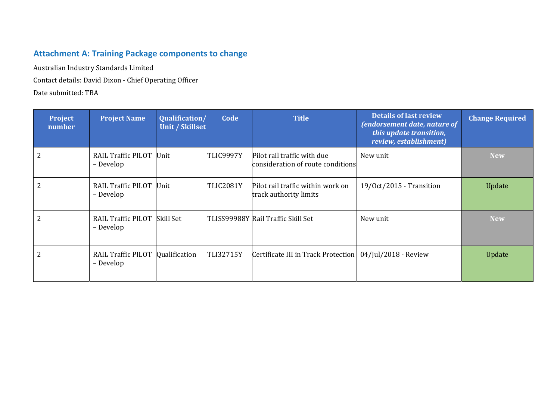# **Attachment A: Training Package components to change**

Australian Industry Standards Limited

Contact details: David Dixon - Chief Operating Officer

Date submitted: TBA

| Project<br>number | <b>Project Name</b>                       | Qualification/<br>Unit / Skillset | Code             | <b>Title</b>                                                     | <b>Details of last review</b><br>(endorsement date, nature of<br>this update transition,<br>review, establishment) | <b>Change Required</b> |
|-------------------|-------------------------------------------|-----------------------------------|------------------|------------------------------------------------------------------|--------------------------------------------------------------------------------------------------------------------|------------------------|
| 2                 | RAIL Traffic PILOT Unit<br>– Develop      |                                   | TLIC9997Y        | Pilot rail traffic with due<br>consideration of route conditions | New unit                                                                                                           | <b>New</b>             |
|                   | RAIL Traffic PILOT Unit<br>– Develop      |                                   | TLIC2081Y        | Pilot rail traffic within work on<br>track authority limits      | $19/Oct/2015$ - Transition                                                                                         | Update                 |
| 2                 | RAIL Traffic PILOT Skill Set<br>– Develop |                                   |                  | TLISS99988Y Rail Traffic Skill Set                               | New unit                                                                                                           | <b>New</b>             |
|                   | RAIL Traffic PILOT<br>– Develop           | Qualification                     | <b>TLI32715Y</b> | Certificate III in Track Protection   04/Jul/2018 - Review       |                                                                                                                    | Update                 |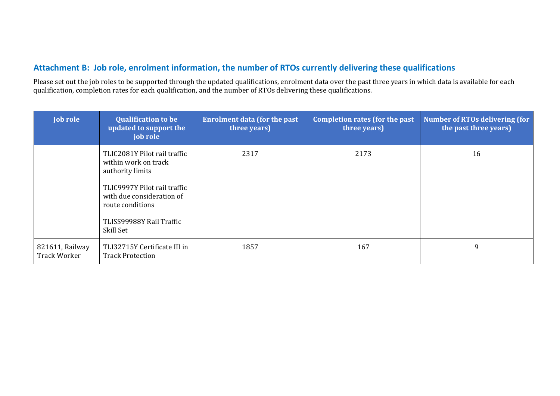## **Attachment B: Job role, enrolment information, the number of RTOs currently delivering these qualifications**

Please set out the job roles to be supported through the updated qualifications, enrolment data over the past three years in which data is available for each qualification, completion rates for each qualification, and the number of RTOs delivering these qualifications.

| <b>Job role</b>                        | <b>Qualification to be</b><br>updated to support the<br>job role              | <b>Enrolment data (for the past</b><br>three years) | <b>Completion rates (for the past</b><br>three years) | <b>Number of RTOs delivering (for</b><br>the past three years) |
|----------------------------------------|-------------------------------------------------------------------------------|-----------------------------------------------------|-------------------------------------------------------|----------------------------------------------------------------|
|                                        | TLIC2081Y Pilot rail traffic<br>within work on track<br>authority limits      | 2317                                                | 2173                                                  | 16                                                             |
|                                        | TLIC9997Y Pilot rail traffic<br>with due consideration of<br>route conditions |                                                     |                                                       |                                                                |
|                                        | TLISS99988Y Rail Traffic<br>Skill Set                                         |                                                     |                                                       |                                                                |
| 821611, Railway<br><b>Track Worker</b> | TLI32715Y Certificate III in<br><b>Track Protection</b>                       | 1857                                                | 167                                                   | 9                                                              |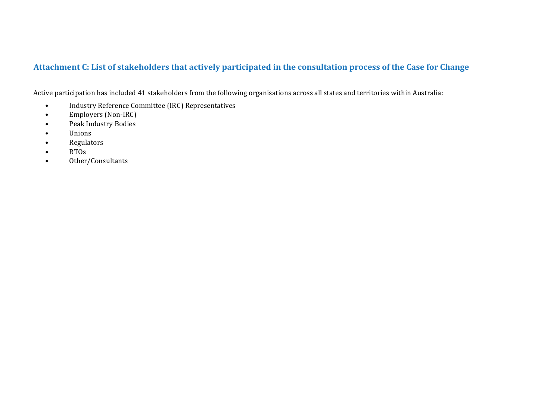## Attachment C: List of stakeholders that actively participated in the consultation process of the Case for Change

Active participation has included 41 stakeholders from the following organisations across all states and territories within Australia:

- •Industry Reference Committee (IRC) Representatives
- •Employers (Non-IRC)
- •Peak Industry Bodies
- •Unions
- •Regulators
- •RTOs
- •Other/Consultants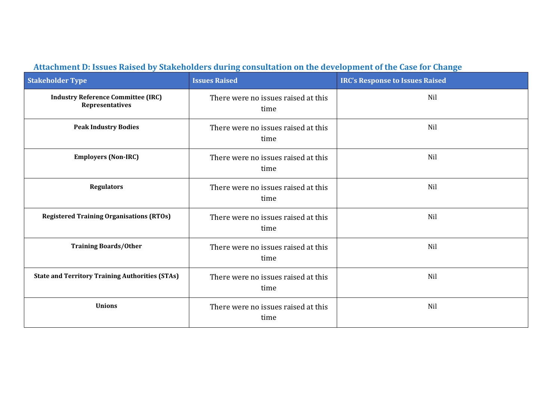| <b>Stakeholder Type</b>                                      | <b>Issues Raised</b>                        | <b>IRC's Response to Issues Raised</b> |
|--------------------------------------------------------------|---------------------------------------------|----------------------------------------|
| <b>Industry Reference Committee (IRC)</b><br>Representatives | There were no issues raised at this<br>time | Nil                                    |
| <b>Peak Industry Bodies</b>                                  | There were no issues raised at this<br>time | Nil                                    |
| <b>Employers (Non-IRC)</b>                                   | There were no issues raised at this<br>time | Nil                                    |
| <b>Regulators</b>                                            | There were no issues raised at this<br>time | Nil                                    |
| <b>Registered Training Organisations (RTOs)</b>              | There were no issues raised at this<br>time | Nil                                    |
| <b>Training Boards/Other</b>                                 | There were no issues raised at this<br>time | Nil                                    |
| <b>State and Territory Training Authorities (STAs)</b>       | There were no issues raised at this<br>time | Nil                                    |
| <b>Unions</b>                                                | There were no issues raised at this<br>time | Nil                                    |